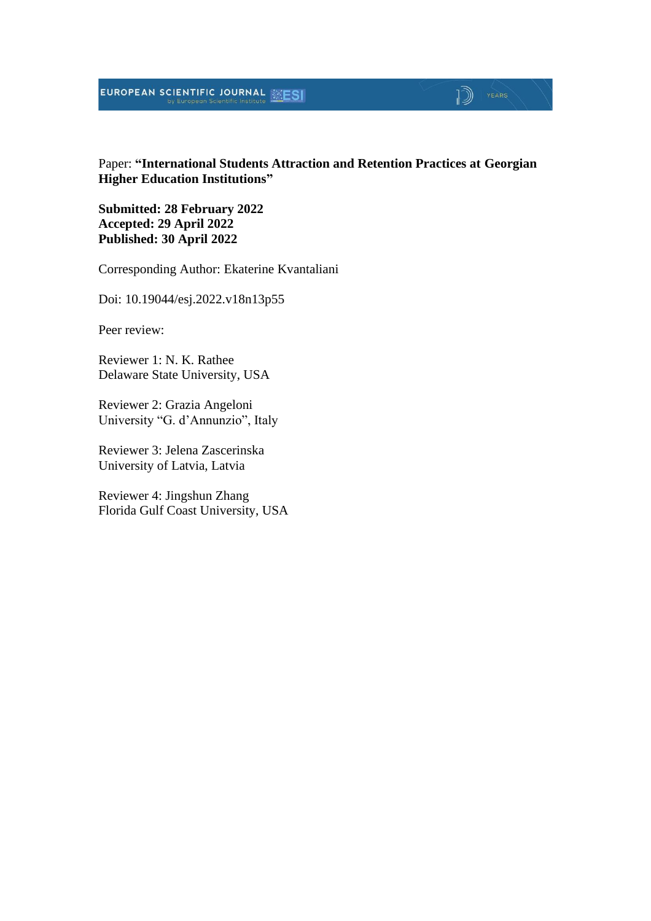# EUROPEAN SCIENTIFIC JOURNAL **ESI**

# $\mathbb{D}$   $\mathbb{P}$   $\mathbb{P}$   $\mathbb{P}$   $\mathbb{P}$   $\mathbb{P}$   $\mathbb{P}$   $\mathbb{P}$   $\mathbb{P}$   $\mathbb{P}$   $\mathbb{P}$   $\mathbb{P}$   $\mathbb{P}$   $\mathbb{P}$   $\mathbb{P}$   $\mathbb{P}$   $\mathbb{P}$   $\mathbb{P}$   $\mathbb{P}$   $\mathbb{P}$   $\mathbb{P}$   $\mathbb{P}$   $\mathbb{P}$   $\mathbb{P}$   $\mathbb{$

Paper: **"International Students Attraction and Retention Practices at Georgian Higher Education Institutions"**

**Submitted: 28 February 2022 Accepted: 29 April 2022 Published: 30 April 2022**

Corresponding Author: Ekaterine Kvantaliani

Doi: 10.19044/esj.2022.v18n13p55

Peer review:

Reviewer 1: N. K. Rathee Delaware State University, USA

Reviewer 2: Grazia Angeloni University "G. d'Annunzio", Italy

Reviewer 3: Jelena Zascerinska University of Latvia, Latvia

Reviewer 4: Jingshun Zhang Florida Gulf Coast University, USA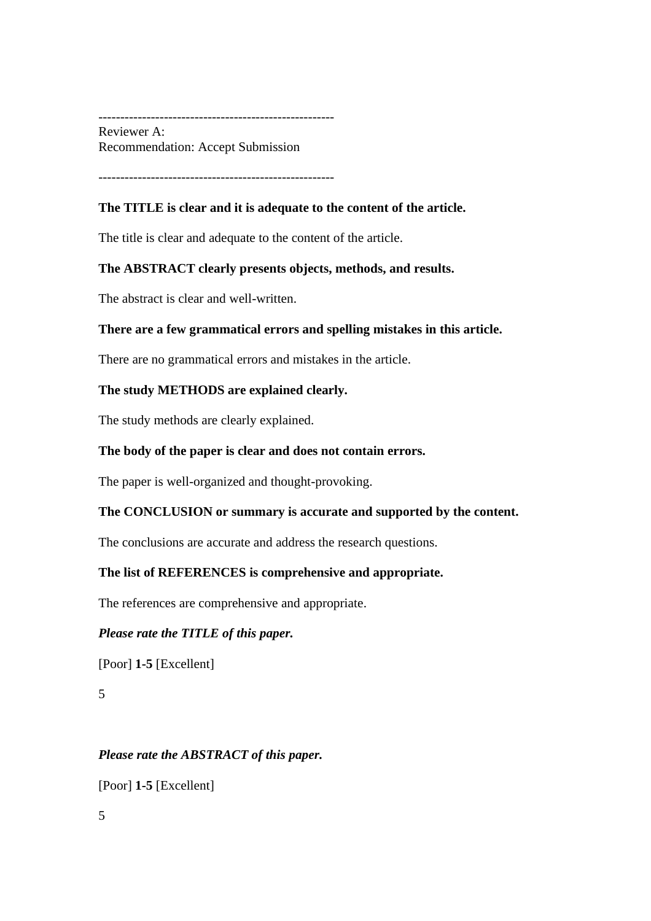------------------------------------------------------ Reviewer A: Recommendation: Accept Submission

------------------------------------------------------

#### **The TITLE is clear and it is adequate to the content of the article.**

The title is clear and adequate to the content of the article.

#### **The ABSTRACT clearly presents objects, methods, and results.**

The abstract is clear and well-written.

#### **There are a few grammatical errors and spelling mistakes in this article.**

There are no grammatical errors and mistakes in the article.

#### **The study METHODS are explained clearly.**

The study methods are clearly explained.

#### **The body of the paper is clear and does not contain errors.**

The paper is well-organized and thought-provoking.

#### **The CONCLUSION or summary is accurate and supported by the content.**

The conclusions are accurate and address the research questions.

#### **The list of REFERENCES is comprehensive and appropriate.**

The references are comprehensive and appropriate.

#### *Please rate the TITLE of this paper.*

[Poor] **1-5** [Excellent]

5

#### *Please rate the ABSTRACT of this paper.*

[Poor] **1-5** [Excellent]

5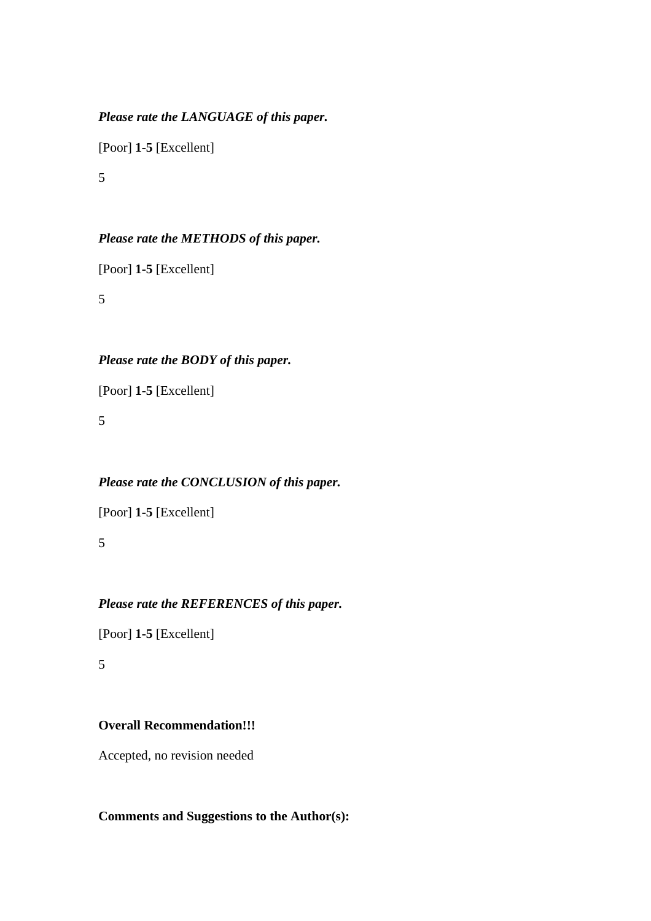# *Please rate the LANGUAGE of this paper.*

[Poor] **1-5** [Excellent]

5

# *Please rate the METHODS of this paper.*

[Poor] **1-5** [Excellent]

5

# *Please rate the BODY of this paper.*

[Poor] **1-5** [Excellent]

5

# *Please rate the CONCLUSION of this paper.*

[Poor] **1-5** [Excellent]

5

# *Please rate the REFERENCES of this paper.*

[Poor] **1-5** [Excellent]

5

# **Overall Recommendation!!!**

Accepted, no revision needed

# **Comments and Suggestions to the Author(s):**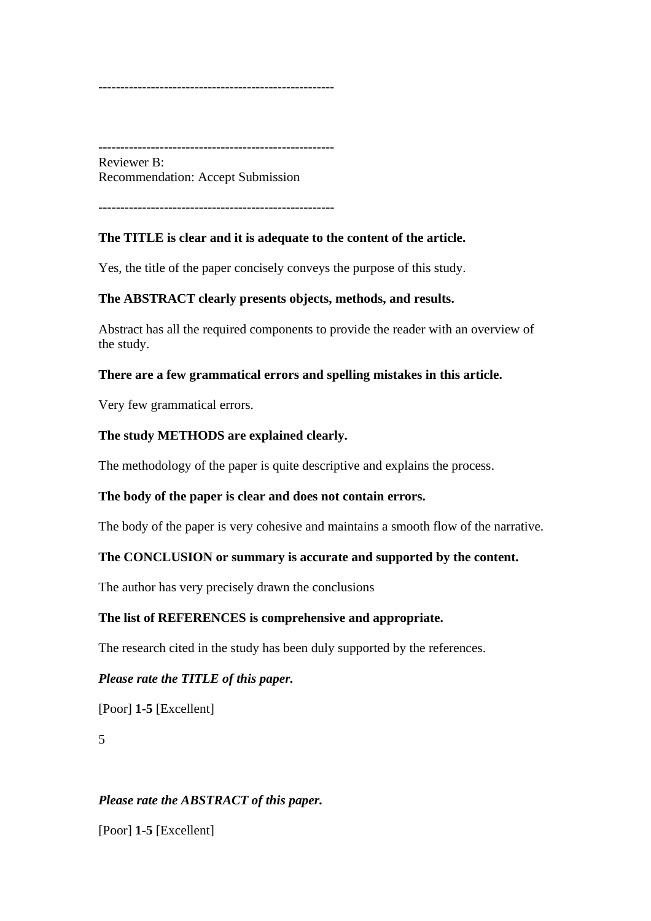------------------------------------------------------

------------------------------------------------------ Reviewer B: Recommendation: Accept Submission

------------------------------------------------------

#### **The TITLE is clear and it is adequate to the content of the article.**

Yes, the title of the paper concisely conveys the purpose of this study.

#### **The ABSTRACT clearly presents objects, methods, and results.**

Abstract has all the required components to provide the reader with an overview of the study.

#### **There are a few grammatical errors and spelling mistakes in this article.**

Very few grammatical errors.

#### **The study METHODS are explained clearly.**

The methodology of the paper is quite descriptive and explains the process.

#### **The body of the paper is clear and does not contain errors.**

The body of the paper is very cohesive and maintains a smooth flow of the narrative.

#### **The CONCLUSION or summary is accurate and supported by the content.**

The author has very precisely drawn the conclusions

#### **The list of REFERENCES is comprehensive and appropriate.**

The research cited in the study has been duly supported by the references.

#### *Please rate the TITLE of this paper.*

[Poor] **1-5** [Excellent]

5

#### *Please rate the ABSTRACT of this paper.*

[Poor] **1-5** [Excellent]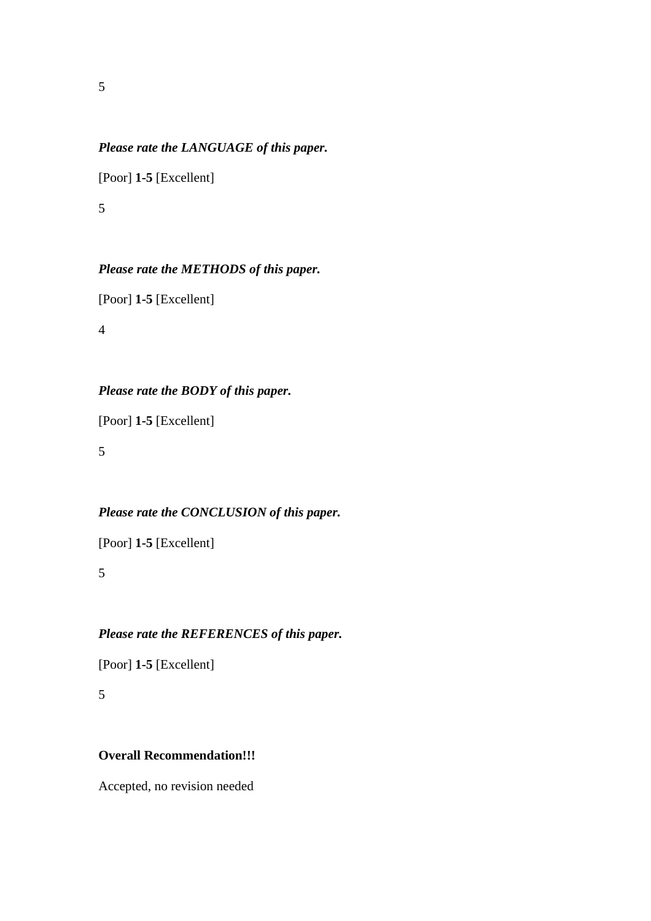#### *Please rate the LANGUAGE of this paper.*

[Poor] **1-5** [Excellent]

5

#### *Please rate the METHODS of this paper.*

[Poor] **1-5** [Excellent]

4

# *Please rate the BODY of this paper.*

[Poor] **1-5** [Excellent]

5

# *Please rate the CONCLUSION of this paper.*

[Poor] **1-5** [Excellent]

5

### *Please rate the REFERENCES of this paper.*

[Poor] **1-5** [Excellent]

5

#### **Overall Recommendation!!!**

Accepted, no revision needed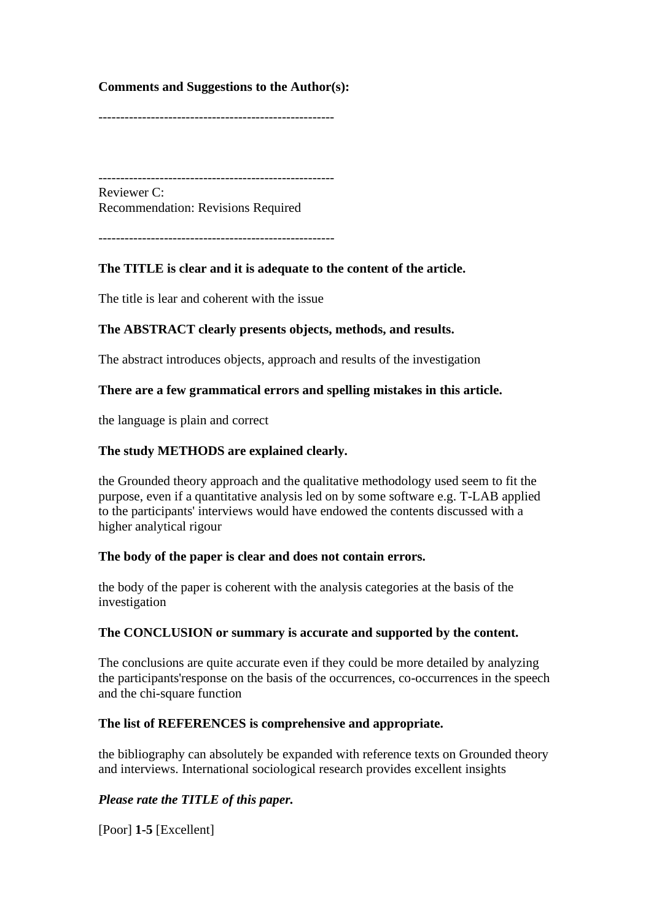#### **Comments and Suggestions to the Author(s):**

------------------------------------------------------

------------------------------------------------------ Reviewer C: Recommendation: Revisions Required

------------------------------------------------------

#### **The TITLE is clear and it is adequate to the content of the article.**

The title is lear and coherent with the issue

#### **The ABSTRACT clearly presents objects, methods, and results.**

The abstract introduces objects, approach and results of the investigation

#### **There are a few grammatical errors and spelling mistakes in this article.**

the language is plain and correct

#### **The study METHODS are explained clearly.**

the Grounded theory approach and the qualitative methodology used seem to fit the purpose, even if a quantitative analysis led on by some software e.g. T-LAB applied to the participants' interviews would have endowed the contents discussed with a higher analytical rigour

#### **The body of the paper is clear and does not contain errors.**

the body of the paper is coherent with the analysis categories at the basis of the investigation

#### **The CONCLUSION or summary is accurate and supported by the content.**

The conclusions are quite accurate even if they could be more detailed by analyzing the participants'response on the basis of the occurrences, co-occurrences in the speech and the chi-square function

#### **The list of REFERENCES is comprehensive and appropriate.**

the bibliography can absolutely be expanded with reference texts on Grounded theory and interviews. International sociological research provides excellent insights

#### *Please rate the TITLE of this paper.*

[Poor] **1-5** [Excellent]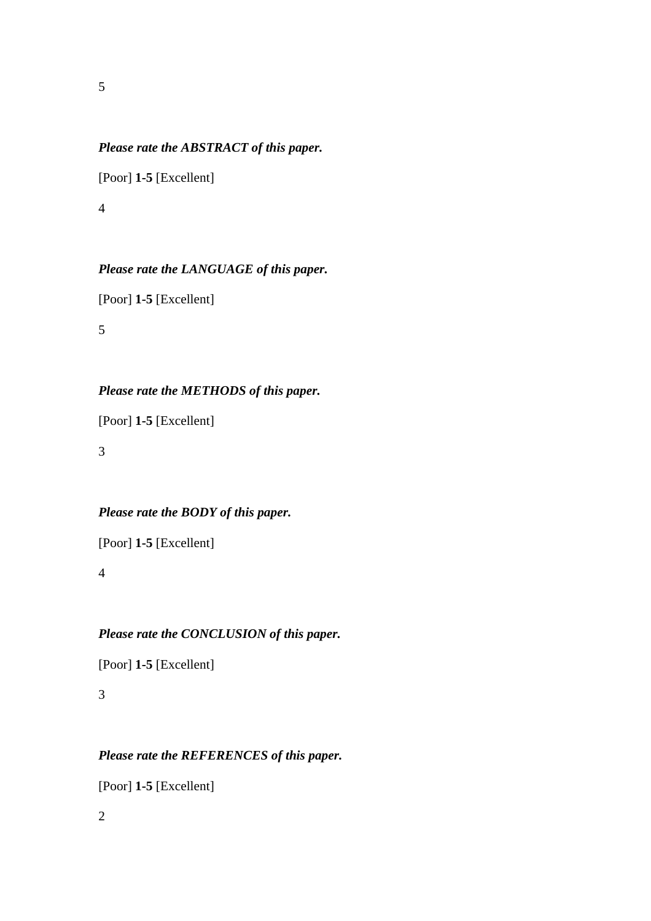#### *Please rate the ABSTRACT of this paper.*

[Poor] **1-5** [Excellent]

4

### *Please rate the LANGUAGE of this paper.*

[Poor] **1-5** [Excellent]

5

# *Please rate the METHODS of this paper.*

[Poor] **1-5** [Excellent]

3

# *Please rate the BODY of this paper.*

[Poor] **1-5** [Excellent]

4

### *Please rate the CONCLUSION of this paper.*

[Poor] **1-5** [Excellent]

3

### *Please rate the REFERENCES of this paper.*

[Poor] **1-5** [Excellent]

2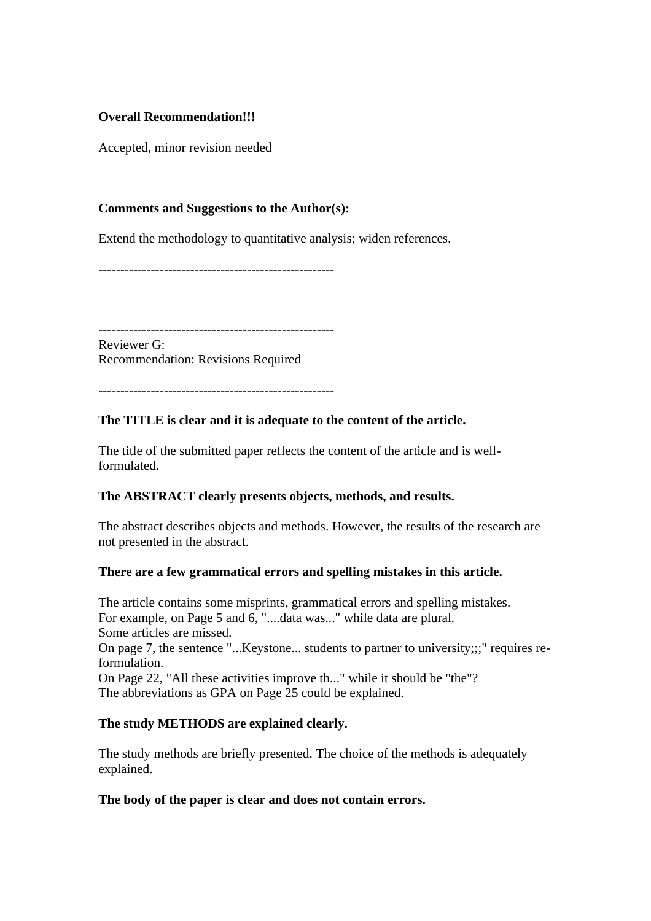#### **Overall Recommendation!!!**

Accepted, minor revision needed

#### **Comments and Suggestions to the Author(s):**

Extend the methodology to quantitative analysis; widen references.

------------------------------------------------------

------------------------------------------------------ Reviewer G:

Recommendation: Revisions Required

------------------------------------------------------

#### **The TITLE is clear and it is adequate to the content of the article.**

The title of the submitted paper reflects the content of the article and is wellformulated.

#### **The ABSTRACT clearly presents objects, methods, and results.**

The abstract describes objects and methods. However, the results of the research are not presented in the abstract.

#### **There are a few grammatical errors and spelling mistakes in this article.**

The article contains some misprints, grammatical errors and spelling mistakes. For example, on Page 5 and 6, "....data was..." while data are plural. Some articles are missed. On page 7, the sentence "...Keystone... students to partner to university;;;" requires reformulation. On Page 22, "All these activities improve th..." while it should be "the"? The abbreviations as GPA on Page 25 could be explained.

#### **The study METHODS are explained clearly.**

The study methods are briefly presented. The choice of the methods is adequately explained.

#### **The body of the paper is clear and does not contain errors.**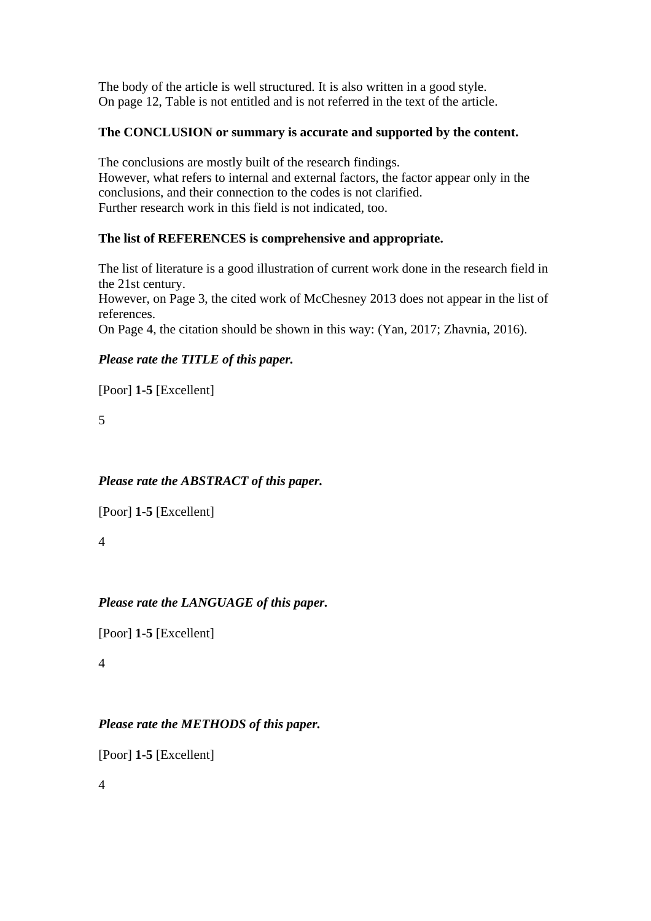The body of the article is well structured. It is also written in a good style. On page 12, Table is not entitled and is not referred in the text of the article.

# **The CONCLUSION or summary is accurate and supported by the content.**

The conclusions are mostly built of the research findings. However, what refers to internal and external factors, the factor appear only in the conclusions, and their connection to the codes is not clarified. Further research work in this field is not indicated, too.

# **The list of REFERENCES is comprehensive and appropriate.**

The list of literature is a good illustration of current work done in the research field in the 21st century. However, on Page 3, the cited work of McChesney 2013 does not appear in the list of references. On Page 4, the citation should be shown in this way: (Yan, 2017; Zhavnia, 2016).

# *Please rate the TITLE of this paper.*

[Poor] **1-5** [Excellent]

5

# *Please rate the ABSTRACT of this paper.*

[Poor] **1-5** [Excellent]

4

# *Please rate the LANGUAGE of this paper.*

[Poor] **1-5** [Excellent]

4

# *Please rate the METHODS of this paper.*

[Poor] **1-5** [Excellent]

4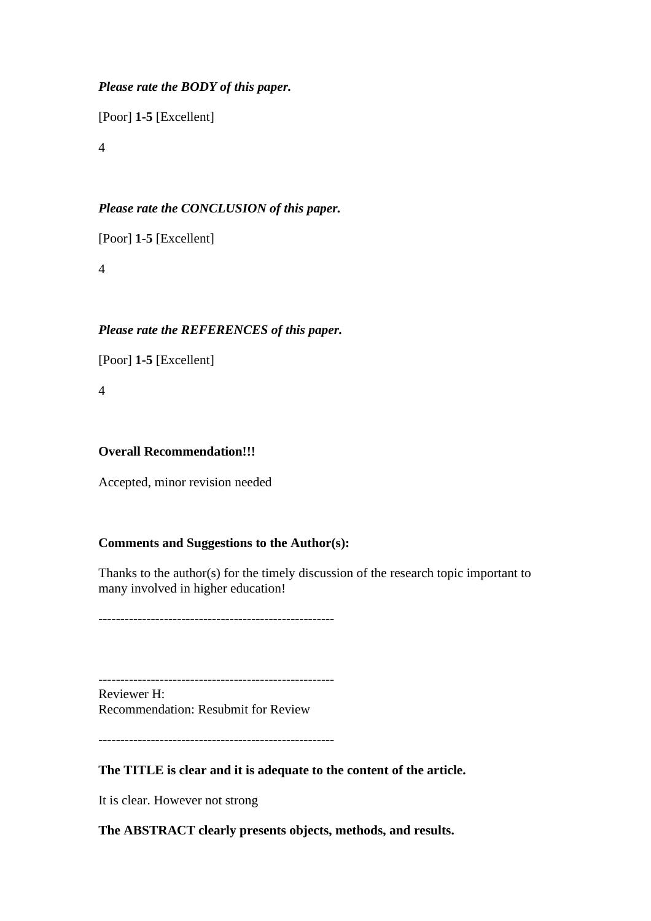### *Please rate the BODY of this paper.*

[Poor] **1-5** [Excellent]

4

### *Please rate the CONCLUSION of this paper.*

[Poor] **1-5** [Excellent]

4

# *Please rate the REFERENCES of this paper.*

[Poor] **1-5** [Excellent]

4

#### **Overall Recommendation!!!**

Accepted, minor revision needed

#### **Comments and Suggestions to the Author(s):**

Thanks to the author(s) for the timely discussion of the research topic important to many involved in higher education!

------------------------------------------------------

------------------------------------------------------

Reviewer H: Recommendation: Resubmit for Review

------------------------------------------------------

#### **The TITLE is clear and it is adequate to the content of the article.**

It is clear. However not strong

#### **The ABSTRACT clearly presents objects, methods, and results.**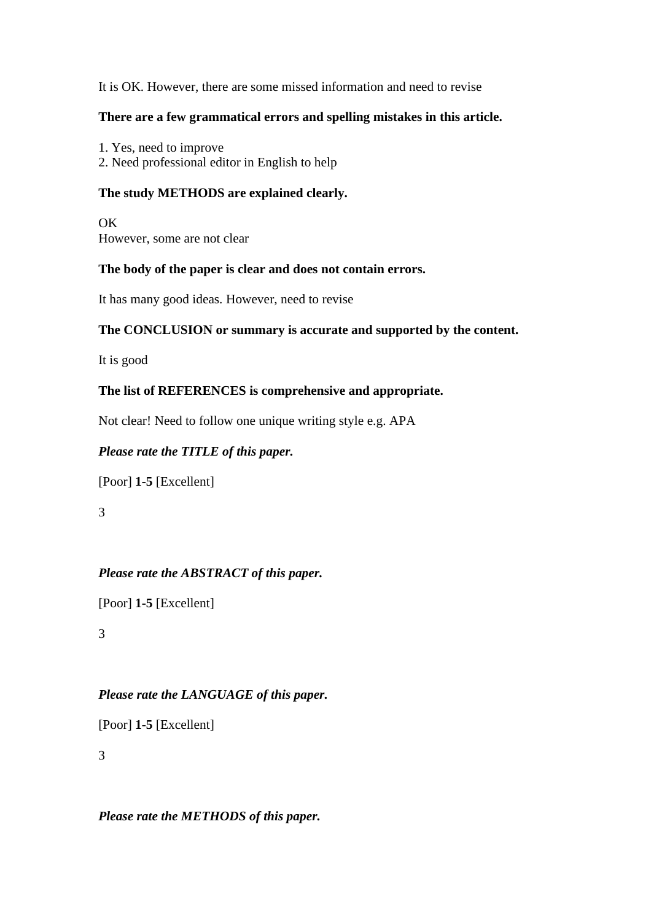#### It is OK. However, there are some missed information and need to revise

#### **There are a few grammatical errors and spelling mistakes in this article.**

1. Yes, need to improve 2. Need professional editor in English to help

### **The study METHODS are explained clearly.**

OK However, some are not clear

#### **The body of the paper is clear and does not contain errors.**

It has many good ideas. However, need to revise

#### **The CONCLUSION or summary is accurate and supported by the content.**

It is good

#### **The list of REFERENCES is comprehensive and appropriate.**

Not clear! Need to follow one unique writing style e.g. APA

#### *Please rate the TITLE of this paper.*

[Poor] **1-5** [Excellent]

3

#### *Please rate the ABSTRACT of this paper.*

[Poor] **1-5** [Excellent]

3

# *Please rate the LANGUAGE of this paper.*

[Poor] **1-5** [Excellent]

3

*Please rate the METHODS of this paper.*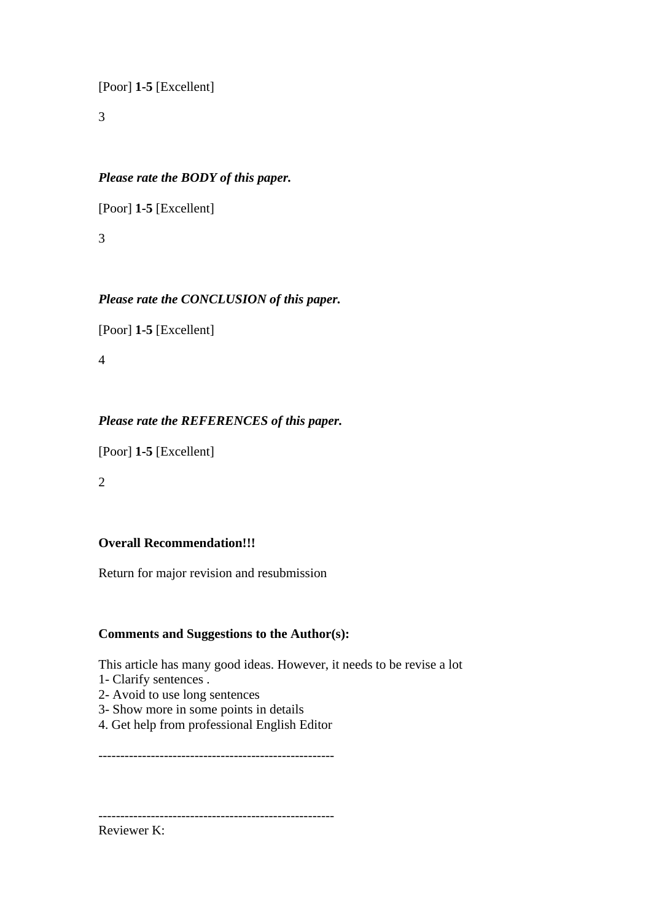[Poor] **1-5** [Excellent]

3

### *Please rate the BODY of this paper.*

[Poor] **1-5** [Excellent]

3

# *Please rate the CONCLUSION of this paper.*

[Poor] **1-5** [Excellent]

4

# *Please rate the REFERENCES of this paper.*

[Poor] **1-5** [Excellent]

2

#### **Overall Recommendation!!!**

Return for major revision and resubmission

#### **Comments and Suggestions to the Author(s):**

This article has many good ideas. However, it needs to be revise a lot

- 1- Clarify sentences .
- 2- Avoid to use long sentences
- 3- Show more in some points in details
- 4. Get help from professional English Editor

------------------------------------------------------

------------------------------------------------------

Reviewer K: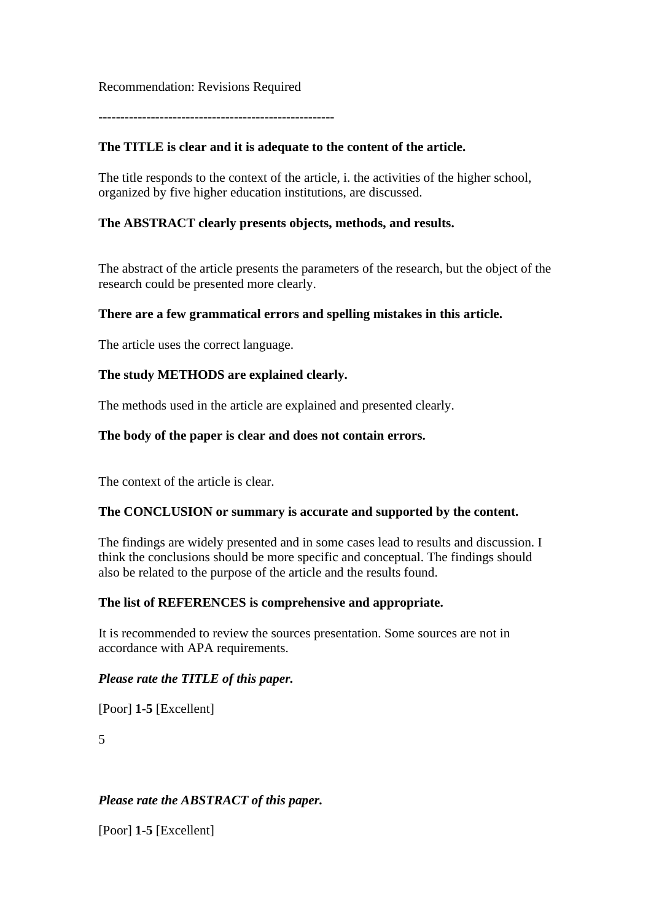#### Recommendation: Revisions Required

------------------------------------------------------

### **The TITLE is clear and it is adequate to the content of the article.**

The title responds to the context of the article, i. the activities of the higher school, organized by five higher education institutions, are discussed.

#### **The ABSTRACT clearly presents objects, methods, and results.**

The abstract of the article presents the parameters of the research, but the object of the research could be presented more clearly.

#### **There are a few grammatical errors and spelling mistakes in this article.**

The article uses the correct language.

#### **The study METHODS are explained clearly.**

The methods used in the article are explained and presented clearly.

#### **The body of the paper is clear and does not contain errors.**

The context of the article is clear.

#### **The CONCLUSION or summary is accurate and supported by the content.**

The findings are widely presented and in some cases lead to results and discussion. I think the conclusions should be more specific and conceptual. The findings should also be related to the purpose of the article and the results found.

#### **The list of REFERENCES is comprehensive and appropriate.**

It is recommended to review the sources presentation. Some sources are not in accordance with APA requirements.

#### *Please rate the TITLE of this paper.*

[Poor] **1-5** [Excellent]

5

#### *Please rate the ABSTRACT of this paper.*

[Poor] **1-5** [Excellent]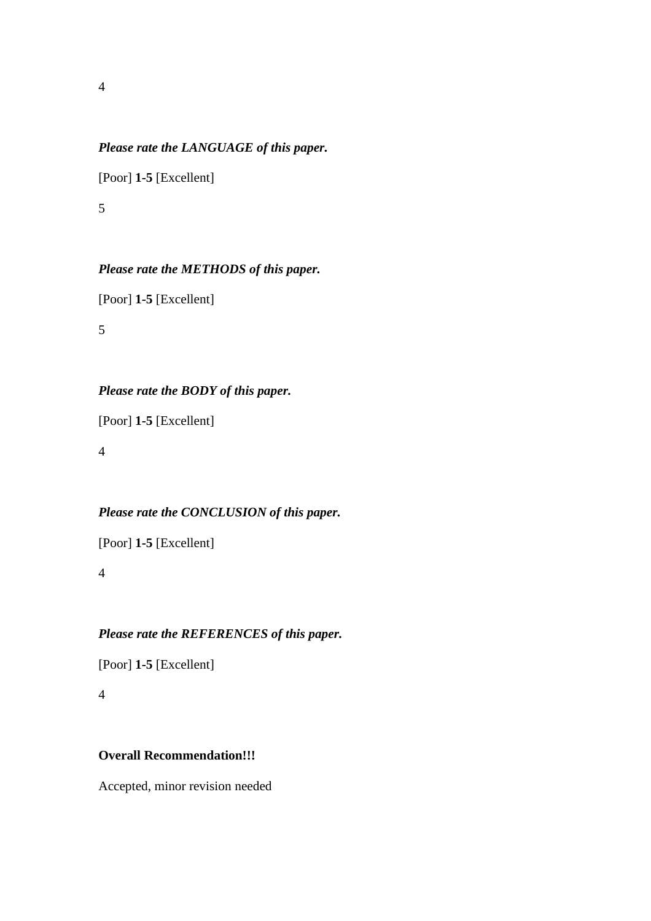#### *Please rate the LANGUAGE of this paper.*

[Poor] **1-5** [Excellent]

5

#### *Please rate the METHODS of this paper.*

[Poor] **1-5** [Excellent]

5

# *Please rate the BODY of this paper.*

[Poor] **1-5** [Excellent]

4

# *Please rate the CONCLUSION of this paper.*

[Poor] **1-5** [Excellent]

4

### *Please rate the REFERENCES of this paper.*

[Poor] **1-5** [Excellent]

4

#### **Overall Recommendation!!!**

Accepted, minor revision needed